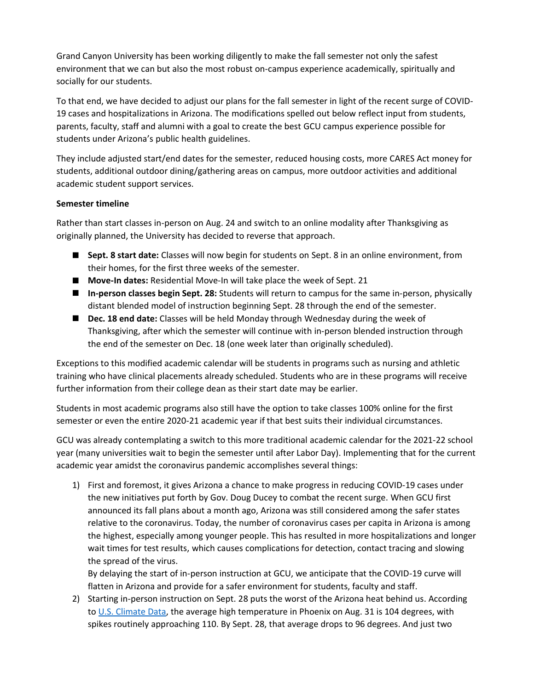Grand Canyon University has been working diligently to make the fall semester not only the safest environment that we can but also the most robust on-campus experience academically, spiritually and socially for our students.

To that end, we have decided to adjust our plans for the fall semester in light of the recent surge of COVID-19 cases and hospitalizations in Arizona. The modifications spelled out below reflect input from students, parents, faculty, staff and alumni with a goal to create the best GCU campus experience possible for students under Arizona's public health guidelines.

They include adjusted start/end dates for the semester, reduced housing costs, more CARES Act money for students, additional outdoor dining/gathering areas on campus, more outdoor activities and additional academic student support services.

## **Semester timeline**

Rather than start classes in-person on Aug. 24 and switch to an online modality after Thanksgiving as originally planned, the University has decided to reverse that approach.

- **Sept. 8 start date:** Classes will now begin for students on Sept. 8 in an online environment, from their homes, for the first three weeks of the semester.
- **Move-In dates:** Residential Move-In will take place the week of Sept. 21
- **In-person classes begin Sept. 28:** Students will return to campus for the same in-person, physically distant blended model of instruction beginning Sept. 28 through the end of the semester.
- **Dec. 18 end date:** Classes will be held Monday through Wednesday during the week of Thanksgiving, after which the semester will continue with in-person blended instruction through the end of the semester on Dec. 18 (one week later than originally scheduled).

Exceptions to this modified academic calendar will be students in programs such as nursing and athletic training who have clinical placements already scheduled. Students who are in these programs will receive further information from their college dean as their start date may be earlier.

Students in most academic programs also still have the option to take classes 100% online for the first semester or even the entire 2020-21 academic year if that best suits their individual circumstances.

GCU was already contemplating a switch to this more traditional academic calendar for the 2021-22 school year (many universities wait to begin the semester until after Labor Day). Implementing that for the current academic year amidst the coronavirus pandemic accomplishes several things:

1) First and foremost, it gives Arizona a chance to make progress in reducing COVID-19 cases under the new initiatives put forth by Gov. Doug Ducey to combat the recent surge. When GCU first announced its fall plans about a month ago, Arizona was still considered among the safer states relative to the coronavirus. Today, the number of coronavirus cases per capita in Arizona is among the highest, especially among younger people. This has resulted in more hospitalizations and longer wait times for test results, which causes complications for detection, contact tracing and slowing the spread of the virus.

By delaying the start of in-person instruction at GCU, we anticipate that the COVID-19 curve will flatten in Arizona and provide for a safer environment for students, faculty and staff.

2) Starting in-person instruction on Sept. 28 puts the worst of the Arizona heat behind us. According to [U.S. Climate Data,](https://www.usclimatedata.com/climate/phoenix/arizona/united-states/usaz0166) the average high temperature in Phoenix on Aug. 31 is 104 degrees, with spikes routinely approaching 110. By Sept. 28, that average drops to 96 degrees. And just two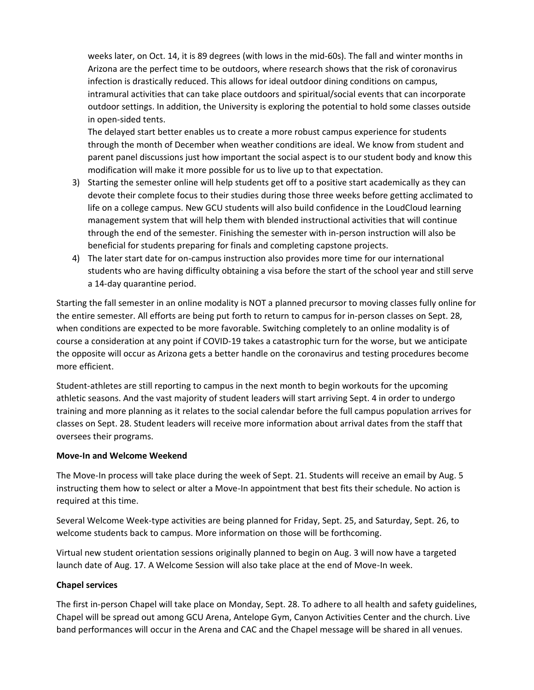weeks later, on Oct. 14, it is 89 degrees (with lows in the mid-60s). The fall and winter months in Arizona are the perfect time to be outdoors, where research shows that the risk of coronavirus infection is drastically reduced. This allows for ideal outdoor dining conditions on campus, intramural activities that can take place outdoors and spiritual/social events that can incorporate outdoor settings. In addition, the University is exploring the potential to hold some classes outside in open-sided tents.

The delayed start better enables us to create a more robust campus experience for students through the month of December when weather conditions are ideal. We know from student and parent panel discussions just how important the social aspect is to our student body and know this modification will make it more possible for us to live up to that expectation.

- 3) Starting the semester online will help students get off to a positive start academically as they can devote their complete focus to their studies during those three weeks before getting acclimated to life on a college campus. New GCU students will also build confidence in the LoudCloud learning management system that will help them with blended instructional activities that will continue through the end of the semester. Finishing the semester with in-person instruction will also be beneficial for students preparing for finals and completing capstone projects.
- 4) The later start date for on-campus instruction also provides more time for our international students who are having difficulty obtaining a visa before the start of the school year and still serve a 14-day quarantine period.

Starting the fall semester in an online modality is NOT a planned precursor to moving classes fully online for the entire semester. All efforts are being put forth to return to campus for in-person classes on Sept. 28, when conditions are expected to be more favorable. Switching completely to an online modality is of course a consideration at any point if COVID-19 takes a catastrophic turn for the worse, but we anticipate the opposite will occur as Arizona gets a better handle on the coronavirus and testing procedures become more efficient.

Student-athletes are still reporting to campus in the next month to begin workouts for the upcoming athletic seasons. And the vast majority of student leaders will start arriving Sept. 4 in order to undergo training and more planning as it relates to the social calendar before the full campus population arrives for classes on Sept. 28. Student leaders will receive more information about arrival dates from the staff that oversees their programs.

### **Move-In and Welcome Weekend**

The Move-In process will take place during the week of Sept. 21. Students will receive an email by Aug. 5 instructing them how to select or alter a Move-In appointment that best fits their schedule. No action is required at this time.

Several Welcome Week-type activities are being planned for Friday, Sept. 25, and Saturday, Sept. 26, to welcome students back to campus. More information on those will be forthcoming.

Virtual new student orientation sessions originally planned to begin on Aug. 3 will now have a targeted launch date of Aug. 17. A Welcome Session will also take place at the end of Move-In week.

### **Chapel services**

The first in-person Chapel will take place on Monday, Sept. 28. To adhere to all health and safety guidelines, Chapel will be spread out among GCU Arena, Antelope Gym, Canyon Activities Center and the church. Live band performances will occur in the Arena and CAC and the Chapel message will be shared in all venues.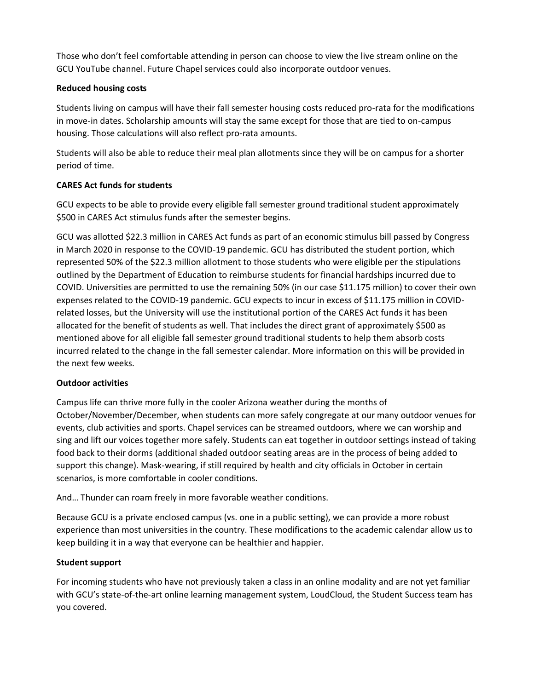Those who don't feel comfortable attending in person can choose to view the live stream online on the GCU YouTube channel. Future Chapel services could also incorporate outdoor venues.

## **Reduced housing costs**

Students living on campus will have their fall semester housing costs reduced pro-rata for the modifications in move-in dates. Scholarship amounts will stay the same except for those that are tied to on-campus housing. Those calculations will also reflect pro-rata amounts.

Students will also be able to reduce their meal plan allotments since they will be on campus for a shorter period of time.

# **CARES Act funds for students**

GCU expects to be able to provide every eligible fall semester ground traditional student approximately \$500 in CARES Act stimulus funds after the semester begins.

GCU was allotted \$22.3 million in CARES Act funds as part of an economic stimulus bill passed by Congress in March 2020 in response to the COVID-19 pandemic. GCU has distributed the student portion, which represented 50% of the \$22.3 million allotment to those students who were eligible per the stipulations outlined by the Department of Education to reimburse students for financial hardships incurred due to COVID. Universities are permitted to use the remaining 50% (in our case \$11.175 million) to cover their own expenses related to the COVID-19 pandemic. GCU expects to incur in excess of \$11.175 million in COVIDrelated losses, but the University will use the institutional portion of the CARES Act funds it has been allocated for the benefit of students as well. That includes the direct grant of approximately \$500 as mentioned above for all eligible fall semester ground traditional students to help them absorb costs incurred related to the change in the fall semester calendar. More information on this will be provided in the next few weeks.

# **Outdoor activities**

Campus life can thrive more fully in the cooler Arizona weather during the months of October/November/December, when students can more safely congregate at our many outdoor venues for events, club activities and sports. Chapel services can be streamed outdoors, where we can worship and sing and lift our voices together more safely. Students can eat together in outdoor settings instead of taking food back to their dorms (additional shaded outdoor seating areas are in the process of being added to support this change). Mask-wearing, if still required by health and city officials in October in certain scenarios, is more comfortable in cooler conditions.

And… Thunder can roam freely in more favorable weather conditions.

Because GCU is a private enclosed campus (vs. one in a public setting), we can provide a more robust experience than most universities in the country. These modifications to the academic calendar allow us to keep building it in a way that everyone can be healthier and happier.

# **Student support**

For incoming students who have not previously taken a class in an online modality and are not yet familiar with GCU's state-of-the-art online learning management system, LoudCloud, the Student Success team has you covered.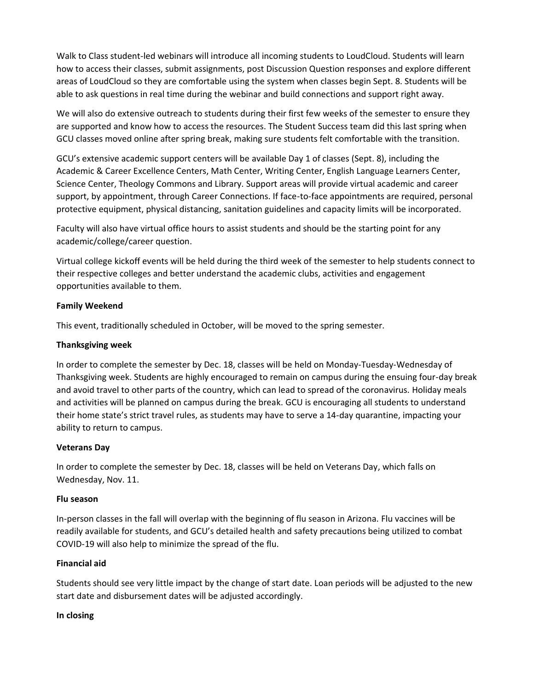Walk to Class student-led webinars will introduce all incoming students to LoudCloud. Students will learn how to access their classes, submit assignments, post Discussion Question responses and explore different areas of LoudCloud so they are comfortable using the system when classes begin Sept. 8. Students will be able to ask questions in real time during the webinar and build connections and support right away.

We will also do extensive outreach to students during their first few weeks of the semester to ensure they are supported and know how to access the resources. The Student Success team did this last spring when GCU classes moved online after spring break, making sure students felt comfortable with the transition.

GCU's extensive academic support centers will be available Day 1 of classes (Sept. 8), including the Academic & Career Excellence Centers, Math Center, Writing Center, English Language Learners Center, Science Center, Theology Commons and Library. Support areas will provide virtual academic and career support, by appointment, through Career Connections. If face-to-face appointments are required, personal protective equipment, physical distancing, sanitation guidelines and capacity limits will be incorporated.

Faculty will also have virtual office hours to assist students and should be the starting point for any academic/college/career question.

Virtual college kickoff events will be held during the third week of the semester to help students connect to their respective colleges and better understand the academic clubs, activities and engagement opportunities available to them.

## **Family Weekend**

This event, traditionally scheduled in October, will be moved to the spring semester.

### **Thanksgiving week**

In order to complete the semester by Dec. 18, classes will be held on Monday-Tuesday-Wednesday of Thanksgiving week. Students are highly encouraged to remain on campus during the ensuing four-day break and avoid travel to other parts of the country, which can lead to spread of the coronavirus. Holiday meals and activities will be planned on campus during the break. GCU is encouraging all students to understand their home state's strict travel rules, as students may have to serve a 14-day quarantine, impacting your ability to return to campus.

### **Veterans Day**

In order to complete the semester by Dec. 18, classes will be held on Veterans Day, which falls on Wednesday, Nov. 11.

### **Flu season**

In-person classes in the fall will overlap with the beginning of flu season in Arizona. Flu vaccines will be readily available for students, and GCU's detailed health and safety precautions being utilized to combat COVID-19 will also help to minimize the spread of the flu.

# **Financial aid**

Students should see very little impact by the change of start date. Loan periods will be adjusted to the new start date and disbursement dates will be adjusted accordingly.

### **In closing**